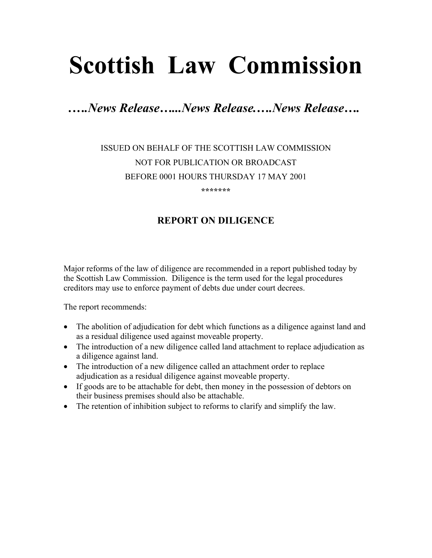# **Scottish Law Commission**

*.….News Release…...News Release.….News Release….* 

## ISSUED ON BEHALF OF THE SCOTTISH LAW COMMISSION NOT FOR PUBLICATION OR BROADCAST BEFORE 0001 HOURS THURSDAY 17 MAY 2001

**\*\*\*\*\*\*\*** 

### **REPORT ON DILIGENCE**

Major reforms of the law of diligence are recommended in a report published today by the Scottish Law Commission. Diligence is the term used for the legal procedures creditors may use to enforce payment of debts due under court decrees.

The report recommends:

- The abolition of adjudication for debt which functions as a diligence against land and as a residual diligence used against moveable property.
- The introduction of a new diligence called land attachment to replace adjudication as a diligence against land.
- The introduction of a new diligence called an attachment order to replace adjudication as a residual diligence against moveable property.
- If goods are to be attachable for debt, then money in the possession of debtors on their business premises should also be attachable.
- The retention of inhibition subject to reforms to clarify and simplify the law.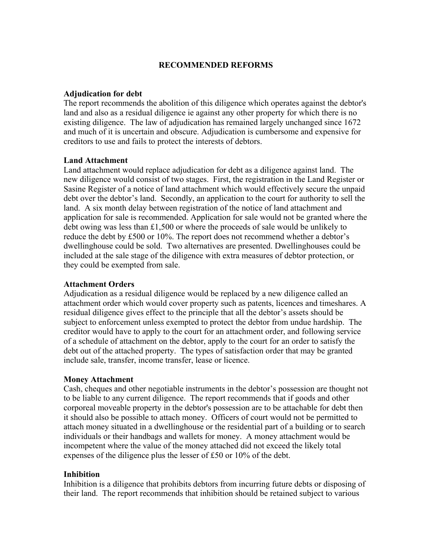#### **RECOMMENDED REFORMS**

#### **Adjudication for debt**

The report recommends the abolition of this diligence which operates against the debtor's land and also as a residual diligence ie against any other property for which there is no existing diligence. The law of adjudication has remained largely unchanged since 1672 and much of it is uncertain and obscure. Adjudication is cumbersome and expensive for creditors to use and fails to protect the interests of debtors.

#### **Land Attachment**

Land attachment would replace adjudication for debt as a diligence against land. The new diligence would consist of two stages. First, the registration in the Land Register or Sasine Register of a notice of land attachment which would effectively secure the unpaid debt over the debtor's land. Secondly, an application to the court for authority to sell the land. A six month delay between registration of the notice of land attachment and application for sale is recommended. Application for sale would not be granted where the debt owing was less than £1,500 or where the proceeds of sale would be unlikely to reduce the debt by £500 or 10%. The report does not recommend whether a debtor's dwellinghouse could be sold. Two alternatives are presented. Dwellinghouses could be included at the sale stage of the diligence with extra measures of debtor protection, or they could be exempted from sale.

#### **Attachment Orders**

Adjudication as a residual diligence would be replaced by a new diligence called an attachment order which would cover property such as patents, licences and timeshares. A residual diligence gives effect to the principle that all the debtor's assets should be subject to enforcement unless exempted to protect the debtor from undue hardship. The creditor would have to apply to the court for an attachment order, and following service of a schedule of attachment on the debtor, apply to the court for an order to satisfy the debt out of the attached property. The types of satisfaction order that may be granted include sale, transfer, income transfer, lease or licence.

#### **Money Attachment**

Cash, cheques and other negotiable instruments in the debtor's possession are thought not to be liable to any current diligence. The report recommends that if goods and other corporeal moveable property in the debtor's possession are to be attachable for debt then it should also be possible to attach money. Officers of court would not be permitted to attach money situated in a dwellinghouse or the residential part of a building or to search individuals or their handbags and wallets for money. A money attachment would be incompetent where the value of the money attached did not exceed the likely total expenses of the diligence plus the lesser of £50 or 10% of the debt.

#### **Inhibition**

Inhibition is a diligence that prohibits debtors from incurring future debts or disposing of their land. The report recommends that inhibition should be retained subject to various